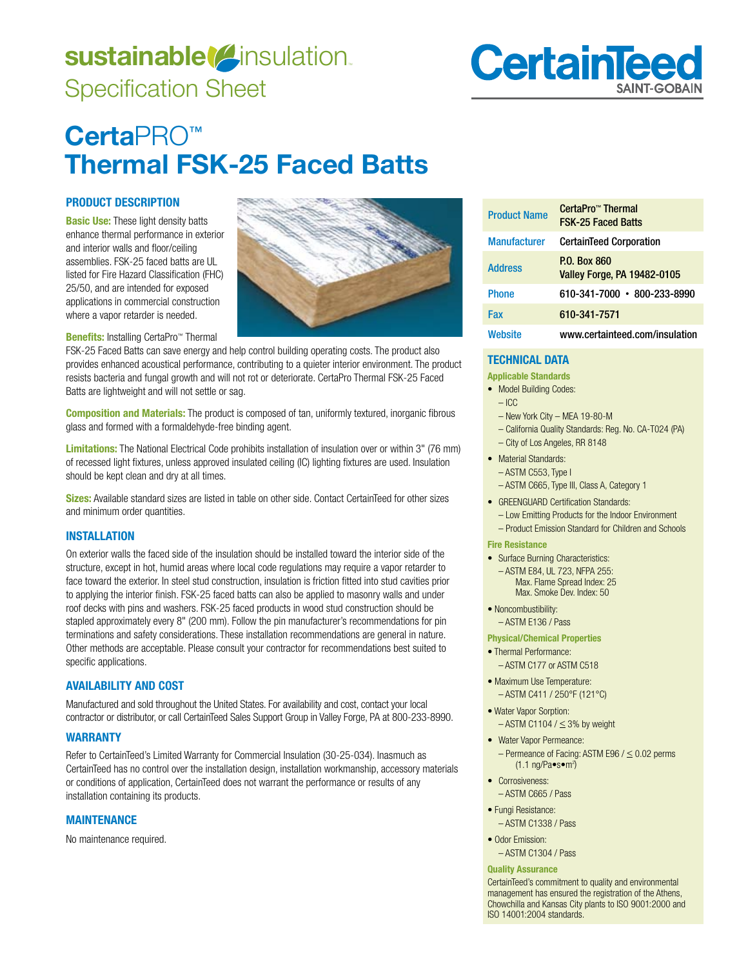# sustainable<sup>(2)</sup>insulation. Specification Sheet



# **Certa**PRO**™ Thermal FSK-25 Faced Batts**

# **PRODUCT DESCRIPTION**

**Basic Use:** These light density batts enhance thermal performance in exterior and interior walls and floor/ceiling assemblies. FSK-25 faced batts are UL listed for Fire Hazard Classification (FHC) 25/50, and are intended for exposed applications in commercial construction where a vapor retarder is needed.

**Benefits:** Installing CertaPro™ Thermal

FSK-25 Faced Batts can save energy and help control building operating costs. The product also provides enhanced acoustical performance, contributing to a quieter interior environment. The product resists bacteria and fungal growth and will not rot or deteriorate. CertaPro Thermal FSK-25 Faced Batts are lightweight and will not settle or sag.

**Composition and Materials:** The product is composed of tan, uniformly textured, inorganic fibrous glass and formed with a formaldehyde-free binding agent.

**Limitations:** The National Electrical Code prohibits installation of insulation over or within 3" (76 mm) of recessed light fixtures, unless approved insulated ceiling (IC) lighting fixtures are used. Insulation should be kept clean and dry at all times.

**Sizes:** Available standard sizes are listed in table on other side. Contact CertainTeed for other sizes and minimum order quantities.

# **INSTALLATION**

On exterior walls the faced side of the insulation should be installed toward the interior side of the structure, except in hot, humid areas where local code regulations may require a vapor retarder to face toward the exterior. In steel stud construction, insulation is friction fitted into stud cavities prior to applying the interior finish. FSK-25 faced batts can also be applied to masonry walls and under roof decks with pins and washers. FSK-25 faced products in wood stud construction should be stapled approximately every 8" (200 mm). Follow the pin manufacturer's recommendations for pin terminations and safety considerations. These installation recommendations are general in nature. Other methods are acceptable. Please consult your contractor for recommendations best suited to specific applications.

# **AVAILABILITY AND COST**

Manufactured and sold throughout the United States. For availability and cost, contact your local contractor or distributor, or call CertainTeed Sales Support Group in Valley Forge, PA at 800-233-8990.

## **WARRANTY**

Refer to CertainTeed's Limited Warranty for Commercial Insulation (30-25-034). Inasmuch as CertainTeed has no control over the installation design, installation workmanship, accessory materials or conditions of application, CertainTeed does not warrant the performance or results of any installation containing its products.

## **MAINTENANCE**

No maintenance required.



| <b>Product Name</b> | CertaPro™ Thermal<br><b>FSK-25 Faced Batts</b>     |
|---------------------|----------------------------------------------------|
| <b>Manufacturer</b> | <b>CertainTeed Corporation</b>                     |
| <b>Address</b>      | P.O. Box 860<br><b>Valley Forge, PA 19482-0105</b> |
| <b>Phone</b>        | 610-341-7000 • 800-233-8990                        |
| Fax                 | 610-341-7571                                       |
| Website             | www.certainteed.com/insulation                     |

# **TECHNICAL DATA**

**Applicable Standards** 

• Model Building Codes:

#### $-$  ICC

- New York City MEA 19-80-M
- California Quality Standards: Req. No. CA-T024 (PA)
- City of Los Angeles, RR 8148
- Material Standards:
- ASTM C553, Type I
- ASTM C665, Type III, Class A, Category 1
- GREENGUARD Certification Standards:
- Low Emitting Products for the Indoor Environment – Product Emission Standard for Children and Schools

#### **Fire Resistance**

• Surface Burning Characteristics: - ASTM E84, UL 723, NFPA 255: Max. Flame Spread Index: 25 Max, Smoke Dev, Index: 50

• Noncombustibility:

– ASTM E136 / Pass

- **Physical/Chemical Properties**
- · Thermal Performance: – ASTM C177 or ASTM C518
- Maximum Use Temperature: – ASTM C411 / 250°F (121°C)
- Water Vapor Sorption:  $-$  ASTM C1104 /  $\leq$  3% by weight
- Water Vapor Permeance:  $-$  Permeance of Facing: ASTM E96 /  $\leq$  0.02 perms  $(1.1 \text{ ng/Pa-s-m}^2)$
- Corrosiveness:
	- ASTM C665 / Pass
- Fungi Resistance: – ASTM C1338 / Pass
- 
- $\bullet$  Odor Emission:
	- ASTM C1304 / Pass

#### **Quality Assurance**

CertainTeed's commitment to quality and environmental management has ensured the registration of the Athens, Chowchilla and Kansas City plants to ISO 9001:2000 and ISO 14001:2004 standards.